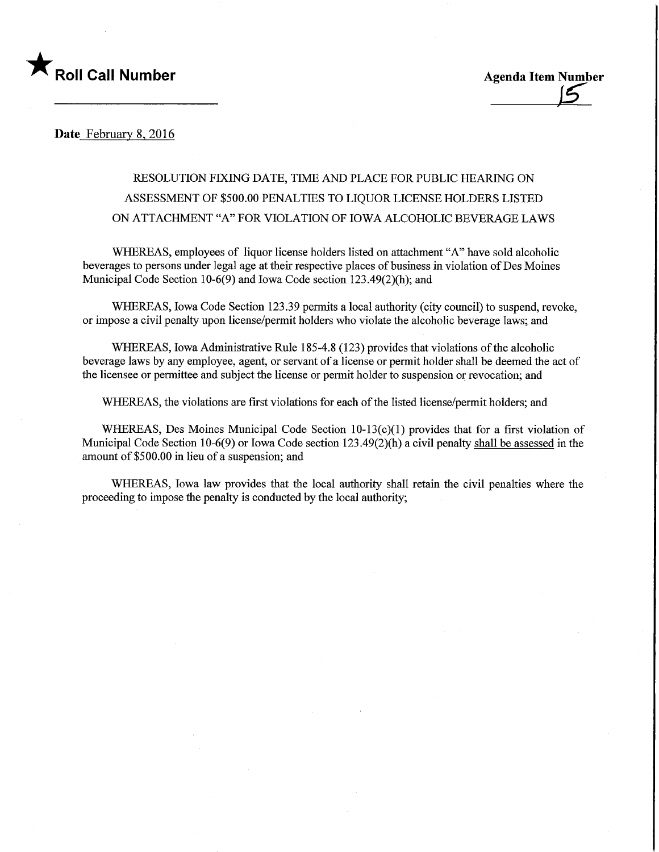

Date February 8, 2016

## RESOLUTION FIXING DATE, TIME AND PLACE FOR PUBLIC HEARING ON ASSESSMENT OF \$500.00 PENALTIES TO LIQUOR LICENSE HOLDERS LISTED ON ATTACHMENT "A" FOR VIOLATION OF IOWA ALCOHOLIC BEVERAGE LAWS

WHEREAS, employees of liquor license holders listed on attachment "A" have sold alcoholic beverages to persons under legal age at their respective places of business in violation of Des Moines Municipal Code Section 10-6(9) and Iowa Code section 123.49(2)(h); and

WHEREAS, Iowa Code Section 123.39 permits a local authority (city council) to suspend, revoke, or impose a civil penalty upon license/permit holders who violate the alcoholic beverage laws; and

WHEREAS, Iowa Administrative Rule 185-4.8 (123) provides that violations of the alcoholic beverage laws by any employee, agent, or servant of a license or pennit holder shall be deemed the act of the licensee or permittee and subject the license or permit holder to suspension or revocation; and

WHEREAS, the violations are first violations for each of the listed license/permit holders; and

WHEREAS, Des Moines Municipal Code Section 10-13(c)(1) provides that for a first violation of Municipal Code Section  $10-6(9)$  or Iowa Code section  $123.49(2)(h)$  a civil penalty shall be assessed in the amount of \$500.00 in lieu of a suspension; and

WHEREAS, Iowa law provides that the local authority shall retain the civil penalties where the proceeding to impose the penalty is conducted by the local authority;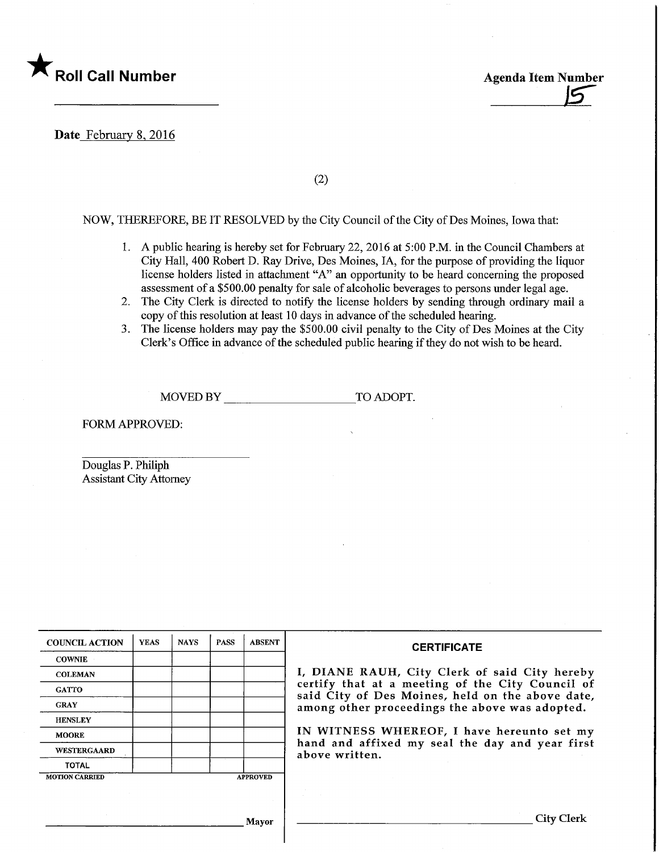

Roll Call Number Agenda Item Number Agenda Item Number

Date February 8, 2016

(2)

## NOW, THEREFORE, BE IT RESOLVED by the City Council of the City of Des Moines, Iowa that:

- 1. A public hearing is hereby set for February 22, 2016 at 5:00 P.M. m the Council Chambers at City Hall, 400 Robert D. Ray Drive, Des Moines, IA, for the purpose of providing the liquor license holders listed in attachment "A" an opportunity to be heard concerning the proposed assessment of a \$500.00 penalty for sale of alcoholic beverages to persons under legal age.
- 2. The City Clerk is directed to notify the license holders by sending through ordmary mail a copy of this resolution at least 10 days in advance of the scheduled hearing.
- 3. The license holders may pay the \$500.00 civil penalty to the City of Des Moines at the City Clerk's Office in advance of the scheduled public hearing if they do not wish to be heard.

MOVED BY TO ADOPT.

FORM APPROVED:

Douglas P. Philiph Assistant City Attorney

| <b>COUNCIL ACTION</b> | <b>YEAS</b> | <b>NAYS</b> | <b>PASS</b> | <b>ABSENT</b>   | <b>CERTIFICATE</b>                                                                                   |
|-----------------------|-------------|-------------|-------------|-----------------|------------------------------------------------------------------------------------------------------|
| <b>COWNIE</b>         |             |             |             |                 |                                                                                                      |
| <b>COLEMAN</b>        |             |             |             |                 | I, DIANE RAUH, City Clerk of said City hereby                                                        |
| <b>GATTO</b>          |             |             |             |                 | certify that at a meeting of the City Council of<br>said City of Des Moines, held on the above date, |
| <b>GRAY</b>           |             |             |             |                 | among other proceedings the above was adopted.                                                       |
| <b>HENSLEY</b>        |             |             |             |                 |                                                                                                      |
| <b>MOORE</b>          |             |             |             |                 | IN WITNESS WHEREOF, I have hereunto set my                                                           |
| <b>WESTERGAARD</b>    |             |             |             |                 | hand and affixed my seal the day and year first<br>above written.                                    |
| <b>TOTAL</b>          |             |             |             |                 |                                                                                                      |
| <b>MOTION CARRIED</b> |             |             |             | <b>APPROVED</b> |                                                                                                      |
|                       |             |             |             |                 |                                                                                                      |
|                       |             |             |             |                 |                                                                                                      |
| <b>Mayor</b>          |             |             |             |                 | . .itv                                                                                               |